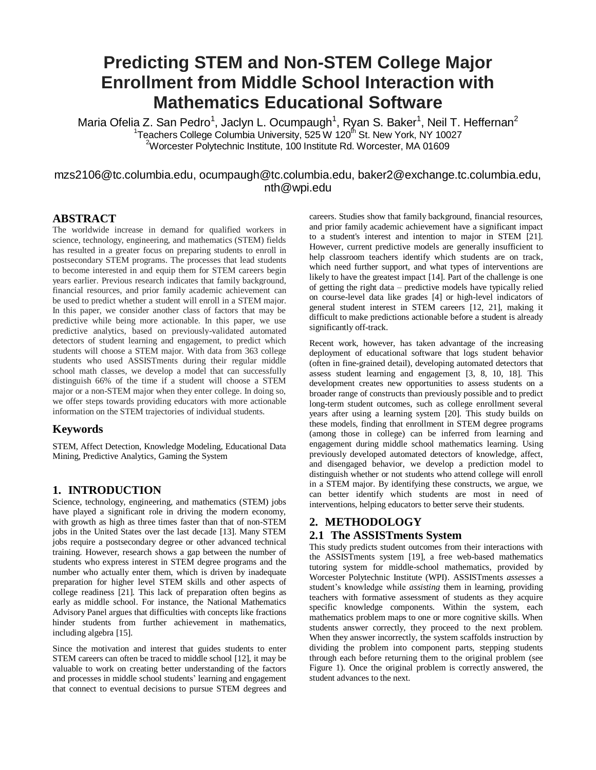# **Predicting STEM and Non-STEM College Major Enrollment from Middle School Interaction with Mathematics Educational Software**

Maria Ofelia Z. San Pedro<sup>1</sup>, Jaclyn L. Ocumpaugh<sup>1</sup>, Ryan S. Baker<sup>1</sup>, Neil T. Heffernan<sup>2</sup> <sup>1</sup>Teachers College Columbia University, 525 W 120<sup>th</sup> St. New York, NY 10027 <sup>2</sup>Worcester Polytechnic Institute, 100 Institute Rd. Worcester, MA 01609

# mzs2106@tc.columbia.edu, ocumpaugh@tc.columbia.edu, baker2@exchange.tc.columbia.edu, nth@wpi.edu

# **ABSTRACT**

The worldwide increase in demand for qualified workers in science, technology, engineering, and mathematics (STEM) fields has resulted in a greater focus on preparing students to enroll in postsecondary STEM programs. The processes that lead students to become interested in and equip them for STEM careers begin years earlier. Previous research indicates that family background, financial resources, and prior family academic achievement can be used to predict whether a student will enroll in a STEM major. In this paper, we consider another class of factors that may be predictive while being more actionable. In this paper, we use predictive analytics, based on previously-validated automated detectors of student learning and engagement, to predict which students will choose a STEM major. With data from 363 college students who used ASSISTments during their regular middle school math classes, we develop a model that can successfully distinguish 66% of the time if a student will choose a STEM major or a non-STEM major when they enter college. In doing so, we offer steps towards providing educators with more actionable information on the STEM trajectories of individual students.

# **Keywords**

STEM, Affect Detection, Knowledge Modeling, Educational Data Mining, Predictive Analytics, Gaming the System

# **1. INTRODUCTION**

Science, technology, engineering, and mathematics (STEM) jobs have played a significant role in driving the modern economy, with growth as high as three times faster than that of non-STEM jobs in the United States over the last decade [13]. Many STEM jobs require a postsecondary degree or other advanced technical training. However, research shows a gap between the number of students who express interest in STEM degree programs and the number who actually enter them, which is driven by inadequate preparation for higher level STEM skills and other aspects of college readiness [21]. This lack of preparation often begins as early as middle school. For instance, the National Mathematics Advisory Panel argues that difficulties with concepts like fractions hinder students from further achievement in mathematics, including algebra [15].

Since the motivation and interest that guides students to enter STEM careers can often be traced to middle school [12], it may be valuable to work on creating better understanding of the factors and processes in middle school students' learning and engagement that connect to eventual decisions to pursue STEM degrees and

careers. Studies show that family background, financial resources, and prior family academic achievement have a significant impact to a student's interest and intention to major in STEM [21]. However, current predictive models are generally insufficient to help classroom teachers identify which students are on track, which need further support, and what types of interventions are likely to have the greatest impact [14]. Part of the challenge is one of getting the right data – predictive models have typically relied on course-level data like grades [4] or high-level indicators of general student interest in STEM careers [12, 21], making it difficult to make predictions actionable before a student is already significantly off-track.

Recent work, however, has taken advantage of the increasing deployment of educational software that logs student behavior (often in fine-grained detail), developing automated detectors that assess student learning and engagement [3, 8, 10, 18]. This development creates new opportunities to assess students on a broader range of constructs than previously possible and to predict long-term student outcomes, such as college enrollment several years after using a learning system [20]. This study builds on these models, finding that enrollment in STEM degree programs (among those in college) can be inferred from learning and engagement during middle school mathematics learning. Using previously developed automated detectors of knowledge, affect, and disengaged behavior, we develop a prediction model to distinguish whether or not students who attend college will enroll in a STEM major. By identifying these constructs, we argue, we can better identify which students are most in need of interventions, helping educators to better serve their students.

# **2. METHODOLOGY**

# **2.1 The ASSISTments System**

This study predicts student outcomes from their interactions with the ASSISTments system [19], a free web-based mathematics tutoring system for middle-school mathematics, provided by Worcester Polytechnic Institute (WPI). ASSISTments *assesses* a student's knowledge while *assisting* them in learning, providing teachers with formative assessment of students as they acquire specific knowledge components. Within the system, each mathematics problem maps to one or more cognitive skills. When students answer correctly, they proceed to the next problem. When they answer incorrectly, the system scaffolds instruction by dividing the problem into component parts, stepping students through each before returning them to the original problem (see Figure 1). Once the original problem is correctly answered, the student advances to the next.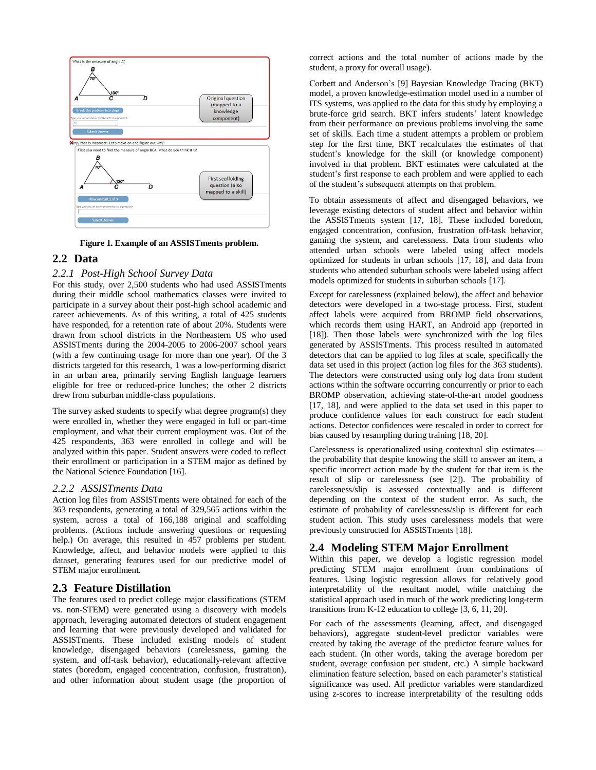

**Figure 1. Example of an ASSISTments problem.** 

# **2.2 Data**

#### *2.2.1 Post-High School Survey Data*

For this study, over 2,500 students who had used ASSISTments during their middle school mathematics classes were invited to participate in a survey about their post-high school academic and career achievements. As of this writing, a total of 425 students have responded, for a retention rate of about 20%. Students were drawn from school districts in the Northeastern US who used ASSISTments during the 2004-2005 to 2006-2007 school years (with a few continuing usage for more than one year). Of the 3 districts targeted for this research, 1 was a low-performing district in an urban area, primarily serving English language learners eligible for free or reduced-price lunches; the other 2 districts drew from suburban middle-class populations.

The survey asked students to specify what degree program(s) they were enrolled in, whether they were engaged in full or part-time employment, and what their current employment was. Out of the 425 respondents, 363 were enrolled in college and will be analyzed within this paper. Student answers were coded to reflect their enrollment or participation in a STEM major as defined by the National Science Foundation [16].

#### *2.2.2 ASSISTments Data*

Action log files from ASSISTments were obtained for each of the 363 respondents, generating a total of 329,565 actions within the system, across a total of 166,188 original and scaffolding problems. (Actions include answering questions or requesting help.) On average, this resulted in 457 problems per student. Knowledge, affect, and behavior models were applied to this dataset, generating features used for our predictive model of STEM major enrollment.

# **2.3 Feature Distillation**

The features used to predict college major classifications (STEM vs. non-STEM) were generated using a discovery with models approach, leveraging automated detectors of student engagement and learning that were previously developed and validated for ASSISTments. These included existing models of student knowledge, disengaged behaviors (carelessness, gaming the system, and off-task behavior), educationally-relevant affective states (boredom, engaged concentration, confusion, frustration), and other information about student usage (the proportion of

correct actions and the total number of actions made by the student, a proxy for overall usage).

Corbett and Anderson's [9] Bayesian Knowledge Tracing (BKT) model, a proven knowledge-estimation model used in a number of ITS systems, was applied to the data for this study by employing a brute-force grid search. BKT infers students' latent knowledge from their performance on previous problems involving the same set of skills. Each time a student attempts a problem or problem step for the first time, BKT recalculates the estimates of that student's knowledge for the skill (or knowledge component) involved in that problem. BKT estimates were calculated at the student's first response to each problem and were applied to each of the student's subsequent attempts on that problem.

To obtain assessments of affect and disengaged behaviors, we leverage existing detectors of student affect and behavior within the ASSISTments system [17, 18]. These included boredom, engaged concentration, confusion, frustration off-task behavior, gaming the system, and carelessness. Data from students who attended urban schools were labeled using affect models optimized for students in urban schools [17, 18], and data from students who attended suburban schools were labeled using affect models optimized for students in suburban schools [17].

Except for carelessness (explained below), the affect and behavior detectors were developed in a two-stage process. First, student affect labels were acquired from BROMP field observations, which records them using HART, an Android app (reported in [18]). Then those labels were synchronized with the log files generated by ASSISTments. This process resulted in automated detectors that can be applied to log files at scale, specifically the data set used in this project (action log files for the 363 students). The detectors were constructed using only log data from student actions within the software occurring concurrently or prior to each BROMP observation, achieving state-of-the-art model goodness [17, 18], and were applied to the data set used in this paper to produce confidence values for each construct for each student actions. Detector confidences were rescaled in order to correct for bias caused by resampling during training [18, 20].

Carelessness is operationalized using contextual slip estimates the probability that despite knowing the skill to answer an item, a specific incorrect action made by the student for that item is the result of slip or carelessness (see [2]). The probability of carelessness/slip is assessed contextually and is different depending on the context of the student error. As such, the estimate of probability of carelessness/slip is different for each student action. This study uses carelessness models that were previously constructed for ASSISTments [18].

# **2.4 Modeling STEM Major Enrollment**

Within this paper, we develop a logistic regression model predicting STEM major enrollment from combinations of features. Using logistic regression allows for relatively good interpretability of the resultant model, while matching the statistical approach used in much of the work predicting long-term transitions from K-12 education to college [3, 6, 11, 20].

For each of the assessments (learning, affect, and disengaged behaviors), aggregate student-level predictor variables were created by taking the average of the predictor feature values for each student. (In other words, taking the average boredom per student, average confusion per student, etc.) A simple backward elimination feature selection, based on each parameter's statistical significance was used. All predictor variables were standardized using z-scores to increase interpretability of the resulting odds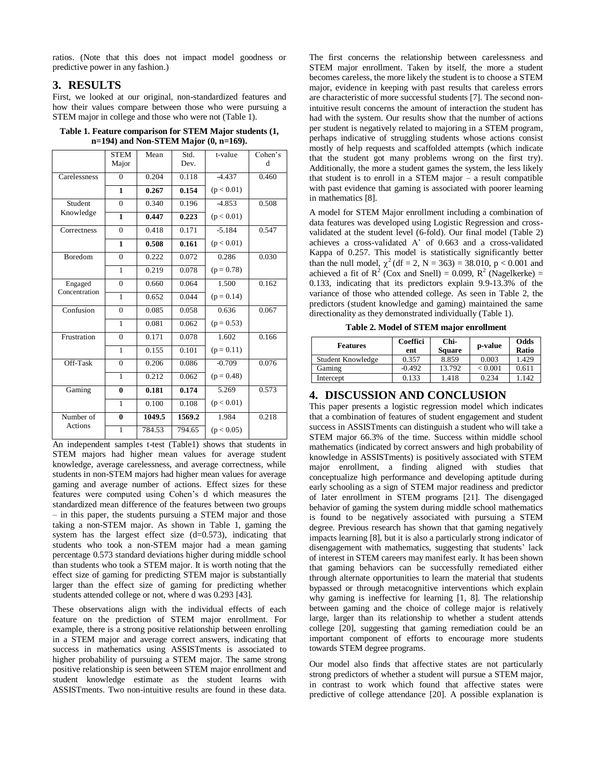ratios. (Note that this does not impact model goodness or predictive power in any fashion.)

# **3. RESULTS**

First, we looked at our original, non-standardized features and how their values compare between those who were pursuing a STEM major in college and those who were not (Table 1).

**Table 1. Feature comparison for STEM Major students (1, n=194) and Non-STEM Major (0, n=169).** 

|               | <b>STEM</b><br>Major | Mean   | Std.<br>Dev. | t-value      | Cohen's<br>d |
|---------------|----------------------|--------|--------------|--------------|--------------|
| Carelessness  | $\Omega$             | 0.204  | 0.118        | $-4.437$     | 0.460        |
|               | $\mathbf{1}$         | 0.267  | 0.154        | (p < 0.01)   |              |
| Student       | $\overline{0}$       | 0.340  | 0.196        | $-4.853$     | 0.508        |
| Knowledge     | 1                    | 0.447  | 0.223        | (p < 0.01)   |              |
| Correctness   | $\boldsymbol{0}$     | 0.418  | 0.171        | $-5.184$     | 0.547        |
|               | $\mathbf{1}$         | 0.508  | 0.161        | (p < 0.01)   |              |
| Boredom       | $\overline{0}$       | 0.222  | 0.072        | 0.286        | 0.030        |
|               | $\mathbf{1}$         | 0.219  | 0.078        | $(p = 0.78)$ |              |
| Engaged       | $\theta$             | 0.660  | 0.064        | 1.500        | 0.162        |
| Concentration | $\overline{1}$       | 0.652  | 0.044        | $(p = 0.14)$ |              |
| Confusion     | $\overline{0}$       | 0.085  | 0.058        | 0.636        | 0.067        |
|               | 1                    | 0.081  | 0.062        | $(p = 0.53)$ |              |
| Frustration   | $\theta$             | 0.171  | 0.078        | 1.602        | 0.166        |
|               | $\mathbf{1}$         | 0.155  | 0.101        | $(p = 0.11)$ |              |
| Off-Task      | $\theta$             | 0.206  | 0.086        | $-0.709$     | 0.076        |
|               | $\mathbf{1}$         | 0.212  | 0.062        | $(p = 0.48)$ |              |
| Gaming        | $\bf{0}$             | 0.181  | 0.174        | 5.269        | 0.573        |
|               | $\mathbf{1}$         | 0.100  | 0.108        | (p < 0.01)   |              |
| Number of     | $\bf{0}$             | 1049.5 | 1569.2       | 1.984        | 0.218        |
| Actions       | $\mathbf{1}$         | 784.53 | 794.65       | (p < 0.05)   |              |

An independent samples t-test (Table1) shows that students in STEM majors had higher mean values for average student knowledge, average carelessness, and average correctness, while students in non-STEM majors had higher mean values for average gaming and average number of actions. Effect sizes for these features were computed using Cohen's d which measures the standardized mean difference of the features between two groups – in this paper, the students pursuing a STEM major and those taking a non-STEM major. As shown in Table 1, gaming the system has the largest effect size (d=0.573), indicating that students who took a non-STEM major had a mean gaming percentage 0.573 standard deviations higher during middle school than students who took a STEM major. It is worth noting that the effect size of gaming for predicting STEM major is substantially larger than the effect size of gaming for predicting whether students attended college or not, where d was 0.293 [43].

These observations align with the individual effects of each feature on the prediction of STEM major enrollment. For example, there is a strong positive relationship between enrolling in a STEM major and average correct answers, indicating that success in mathematics using ASSISTments is associated to higher probability of pursuing a STEM major. The same strong positive relationship is seen between STEM major enrollment and student knowledge estimate as the student learns with ASSISTments. Two non-intuitive results are found in these data.

The first concerns the relationship between carelessness and STEM major enrollment. Taken by itself, the more a student becomes careless, the more likely the student is to choose a STEM major, evidence in keeping with past results that careless errors are characteristic of more successful students [7]. The second nonintuitive result concerns the amount of interaction the student has had with the system. Our results show that the number of actions per student is negatively related to majoring in a STEM program, perhaps indicative of struggling students whose actions consist mostly of help requests and scaffolded attempts (which indicate that the student got many problems wrong on the first try). Additionally, the more a student games the system, the less likely that student is to enroll in a STEM major – a result compatible with past evidence that gaming is associated with poorer learning in mathematics [8].

A model for STEM Major enrollment including a combination of data features was developed using Logistic Regression and crossvalidated at the student level (6-fold). Our final model (Table 2) achieves a cross-validated A' of 0.663 and a cross-validated Kappa of 0.257. This model is statistically significantly better than the null model,  $\chi^2$  (df = 2, N = 363) = 38.010, p < 0.001 and achieved a fit of  $R^2$  (Cox and Snell) = 0.099,  $R^2$  (Nagelkerke) = 0.133, indicating that its predictors explain 9.9-13.3% of the variance of those who attended college. As seen in Table 2, the predictors (student knowledge and gaming) maintained the same directionality as they demonstrated individually (Table 1).

**Table 2. Model of STEM major enrollment**

| <b>Features</b>   | Coeffici<br>ent | Chi-<br><b>Square</b> | p-value | Odds<br>Ratio |
|-------------------|-----------------|-----------------------|---------|---------------|
| Student Knowledge | 0.357           | 8.859                 | 0.003   | 1.429         |
| Gaming            | $-0.492$        | 13.792                | < 0.001 | 0.611         |
| Intercept         | 0.133           | 1.418                 | 0.234   | $-142$        |

# **4. DISCUSSION AND CONCLUSION**

This paper presents a logistic regression model which indicates that a combination of features of student engagement and student success in ASSISTments can distinguish a student who will take a STEM major 66.3% of the time. Success within middle school mathematics (indicated by correct answers and high probability of knowledge in ASSISTments) is positively associated with STEM major enrollment, a finding aligned with studies that conceptualize high performance and developing aptitude during early schooling as a sign of STEM major readiness and predictor of later enrollment in STEM programs [21]. The disengaged behavior of gaming the system during middle school mathematics is found to be negatively associated with pursuing a STEM degree. Previous research has shown that that gaming negatively impacts learning [8], but it is also a particularly strong indicator of disengagement with mathematics, suggesting that students' lack of interest in STEM careers may manifest early. It has been shown that gaming behaviors can be successfully remediated either through alternate opportunities to learn the material that students bypassed or through metacognitive interventions which explain why gaming is ineffective for learning [1, 8]. The relationship between gaming and the choice of college major is relatively large, larger than its relationship to whether a student attends college [20], suggesting that gaming remediation could be an important component of efforts to encourage more students towards STEM degree programs.

Our model also finds that affective states are not particularly strong predictors of whether a student will pursue a STEM major, in contrast to work which found that affective states were predictive of college attendance [20]. A possible explanation is